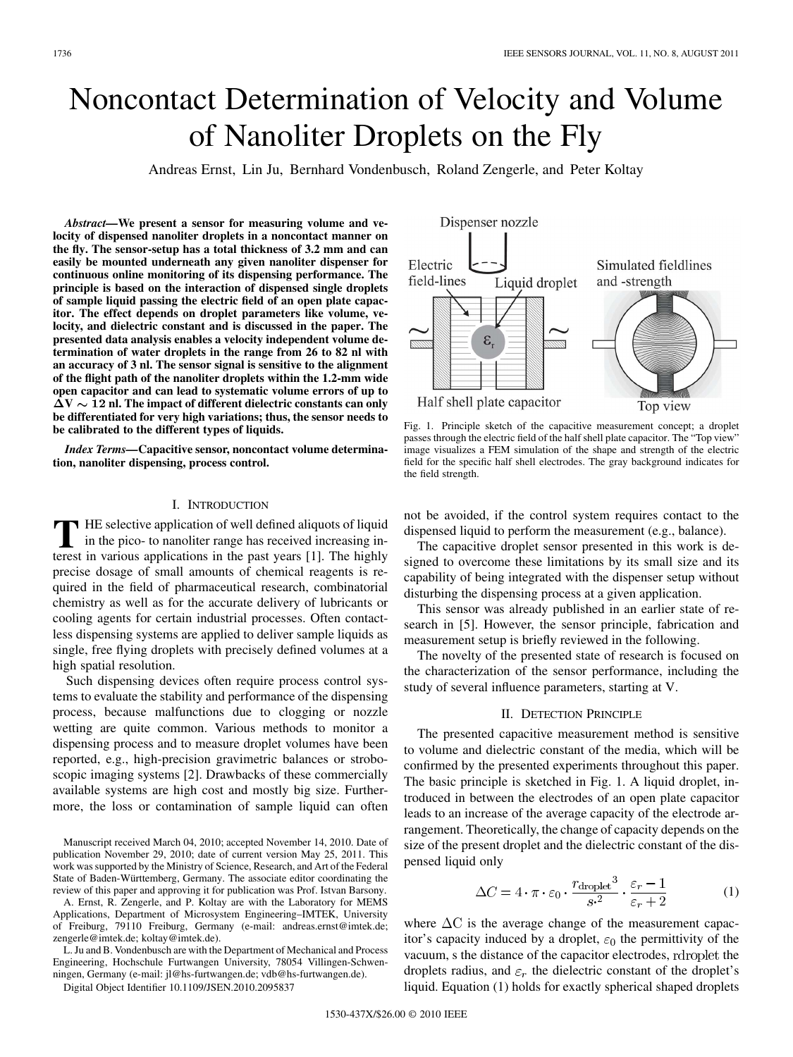# Noncontact Determination of Velocity and Volume of Nanoliter Droplets on the Fly

Andreas Ernst, Lin Ju, Bernhard Vondenbusch, Roland Zengerle, and Peter Koltay

*Abstract—***We present a sensor for measuring volume and velocity of dispensed nanoliter droplets in a noncontact manner on the fly. The sensor-setup has a total thickness of 3.2 mm and can easily be mounted underneath any given nanoliter dispenser for continuous online monitoring of its dispensing performance. The principle is based on the interaction of dispensed single droplets of sample liquid passing the electric field of an open plate capacitor. The effect depends on droplet parameters like volume, velocity, and dielectric constant and is discussed in the paper. The presented data analysis enables a velocity independent volume determination of water droplets in the range from 26 to 82 nl with an accuracy of 3 nl. The sensor signal is sensitive to the alignment of the flight path of the nanoliter droplets within the 1.2-mm wide open capacitor and can lead to systematic volume errors of up to**  $\overline{\Delta}V \sim 12$  nl. The impact of different dielectric constants can only **be differentiated for very high variations; thus, the sensor needs to be calibrated to the different types of liquids.**

*Index Terms—***Capacitive sensor, noncontact volume determination, nanoliter dispensing, process control.**

## I. INTRODUCTION

**T** HE selective application of well defined aliquots of liquid<br>in the pico- to nanoliter range has received increasing in-<br>terest in versions emplications in the past vears [1]. The highly terest in various applications in the past years [1]. The highly precise dosage of small amounts of chemical reagents is required in the field of pharmaceutical research, combinatorial chemistry as well as for the accurate delivery of lubricants or cooling agents for certain industrial processes. Often contactless dispensing systems are applied to deliver sample liquids as single, free flying droplets with precisely defined volumes at a high spatial resolution.

Such dispensing devices often require process control systems to evaluate the stability and performance of the dispensing process, because malfunctions due to clogging or nozzle wetting are quite common. Various methods to monitor a dispensing process and to measure droplet volumes have been reported, e.g., high-precision gravimetric balances or stroboscopic imaging systems [2]. Drawbacks of these commercially available systems are high cost and mostly big size. Furthermore, the loss or contamination of sample liquid can often

Manuscript received March 04, 2010; accepted November 14, 2010. Date of publication November 29, 2010; date of current version May 25, 2011. This work was supported by the Ministry of Science, Research, and Art of the Federal State of Baden-Württemberg, Germany. The associate editor coordinating the review of this paper and approving it for publication was Prof. Istvan Barsony.

A. Ernst, R. Zengerle, and P. Koltay are with the Laboratory for MEMS Applications, Department of Microsystem Engineering–IMTEK, University of Freiburg, 79110 Freiburg, Germany (e-mail: andreas.ernst@imtek.de; zengerle@imtek.de; koltay@imtek.de).

L. Ju and B. Vondenbusch are with the Department of Mechanical and Process Engineering, Hochschule Furtwangen University, 78054 Villingen-Schwenningen, Germany (e-mail: jl@hs-furtwangen.de; vdb@hs-furtwangen.de).

Digital Object Identifier 10.1109/JSEN.2010.2095837



Fig. 1. Principle sketch of the capacitive measurement concept; a droplet passes through the electric field of the half shell plate capacitor. The "Top view" image visualizes a FEM simulation of the shape and strength of the electric field for the specific half shell electrodes. The gray background indicates for the field strength.

not be avoided, if the control system requires contact to the dispensed liquid to perform the measurement (e.g., balance).

The capacitive droplet sensor presented in this work is designed to overcome these limitations by its small size and its capability of being integrated with the dispenser setup without disturbing the dispensing process at a given application.

This sensor was already published in an earlier state of research in [5]. However, the sensor principle, fabrication and measurement setup is briefly reviewed in the following.

The novelty of the presented state of research is focused on the characterization of the sensor performance, including the study of several influence parameters, starting at V.

### II. DETECTION PRINCIPLE

The presented capacitive measurement method is sensitive to volume and dielectric constant of the media, which will be confirmed by the presented experiments throughout this paper. The basic principle is sketched in Fig. 1. A liquid droplet, introduced in between the electrodes of an open plate capacitor leads to an increase of the average capacity of the electrode arrangement. Theoretically, the change of capacity depends on the size of the present droplet and the dielectric constant of the dispensed liquid only

$$
\Delta C = 4 \cdot \pi \cdot \varepsilon_0 \cdot \frac{r_{\text{droplet}}^3}{s^2} \cdot \frac{\varepsilon_r - 1}{\varepsilon_r + 2} \tag{1}
$$

where  $\Delta C$  is the average change of the measurement capacitor's capacity induced by a droplet,  $\varepsilon_0$  the permittivity of the vacuum, s the distance of the capacitor electrodes, rdroplet the droplets radius, and  $\varepsilon_r$  the dielectric constant of the droplet's liquid. Equation (1) holds for exactly spherical shaped droplets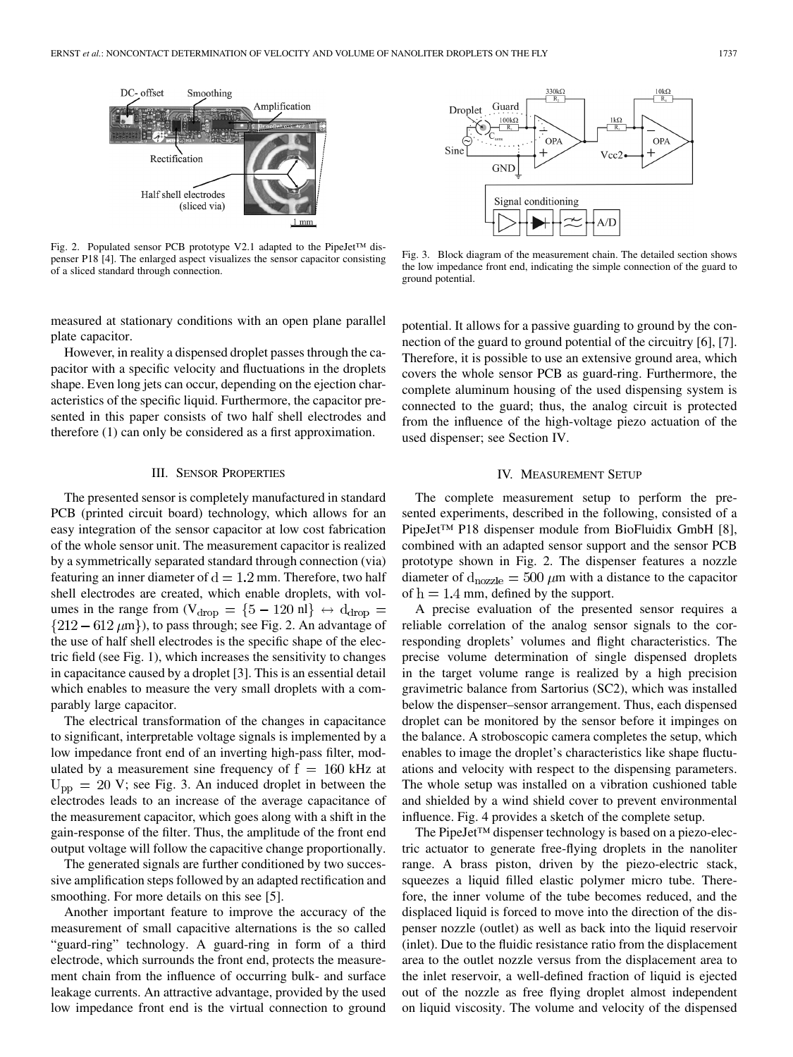

Fig. 2. Populated sensor PCB prototype V2.1 adapted to the PipeJet™ dispenser P18 [4]. The enlarged aspect visualizes the sensor capacitor consisting of a sliced standard through connection.



Fig. 3. Block diagram of the measurement chain. The detailed section shows the low impedance front end, indicating the simple connection of the guard to ground potential.

measured at stationary conditions with an open plane parallel plate capacitor.

However, in reality a dispensed droplet passes through the capacitor with a specific velocity and fluctuations in the droplets shape. Even long jets can occur, depending on the ejection characteristics of the specific liquid. Furthermore, the capacitor presented in this paper consists of two half shell electrodes and therefore (1) can only be considered as a first approximation.

## III. SENSOR PROPERTIES

The presented sensor is completely manufactured in standard PCB (printed circuit board) technology, which allows for an easy integration of the sensor capacitor at low cost fabrication of the whole sensor unit. The measurement capacitor is realized by a symmetrically separated standard through connection (via) featuring an inner diameter of  $d = 1.2$  mm. Therefore, two half shell electrodes are created, which enable droplets, with volumes in the range from (V<sub>drop</sub> = {5 - 120 nl}  $\leftrightarrow$  d<sub>drop</sub> =  $\{212-612 \ \mu m\}$ , to pass through; see Fig. 2. An advantage of the use of half shell electrodes is the specific shape of the electric field (see Fig. 1), which increases the sensitivity to changes in capacitance caused by a droplet [3]. This is an essential detail which enables to measure the very small droplets with a comparably large capacitor.

The electrical transformation of the changes in capacitance to significant, interpretable voltage signals is implemented by a low impedance front end of an inverting high-pass filter, modulated by a measurement sine frequency of  $f = 160$  kHz at  $U_{\rm pp}$  = 20 V; see Fig. 3. An induced droplet in between the electrodes leads to an increase of the average capacitance of the measurement capacitor, which goes along with a shift in the gain-response of the filter. Thus, the amplitude of the front end output voltage will follow the capacitive change proportionally.

The generated signals are further conditioned by two successive amplification steps followed by an adapted rectification and smoothing. For more details on this see [5].

Another important feature to improve the accuracy of the measurement of small capacitive alternations is the so called "guard-ring" technology. A guard-ring in form of a third electrode, which surrounds the front end, protects the measurement chain from the influence of occurring bulk- and surface leakage currents. An attractive advantage, provided by the used low impedance front end is the virtual connection to ground

potential. It allows for a passive guarding to ground by the connection of the guard to ground potential of the circuitry [6], [7]. Therefore, it is possible to use an extensive ground area, which covers the whole sensor PCB as guard-ring. Furthermore, the complete aluminum housing of the used dispensing system is connected to the guard; thus, the analog circuit is protected from the influence of the high-voltage piezo actuation of the used dispenser; see Section IV.

## IV. MEASUREMENT SETUP

The complete measurement setup to perform the presented experiments, described in the following, consisted of a PipeJet™ P18 dispenser module from BioFluidix GmbH [8], combined with an adapted sensor support and the sensor PCB prototype shown in Fig. 2. The dispenser features a nozzle diameter of  $d_{\text{nozzle}} = 500 \ \mu \text{m}$  with a distance to the capacitor of  $h = 1.4$  mm, defined by the support.

A precise evaluation of the presented sensor requires a reliable correlation of the analog sensor signals to the corresponding droplets' volumes and flight characteristics. The precise volume determination of single dispensed droplets in the target volume range is realized by a high precision gravimetric balance from Sartorius (SC2), which was installed below the dispenser–sensor arrangement. Thus, each dispensed droplet can be monitored by the sensor before it impinges on the balance. A stroboscopic camera completes the setup, which enables to image the droplet's characteristics like shape fluctuations and velocity with respect to the dispensing parameters. The whole setup was installed on a vibration cushioned table and shielded by a wind shield cover to prevent environmental influence. Fig. 4 provides a sketch of the complete setup.

The PipeJet™ dispenser technology is based on a piezo-electric actuator to generate free-flying droplets in the nanoliter range. A brass piston, driven by the piezo-electric stack, squeezes a liquid filled elastic polymer micro tube. Therefore, the inner volume of the tube becomes reduced, and the displaced liquid is forced to move into the direction of the dispenser nozzle (outlet) as well as back into the liquid reservoir (inlet). Due to the fluidic resistance ratio from the displacement area to the outlet nozzle versus from the displacement area to the inlet reservoir, a well-defined fraction of liquid is ejected out of the nozzle as free flying droplet almost independent on liquid viscosity. The volume and velocity of the dispensed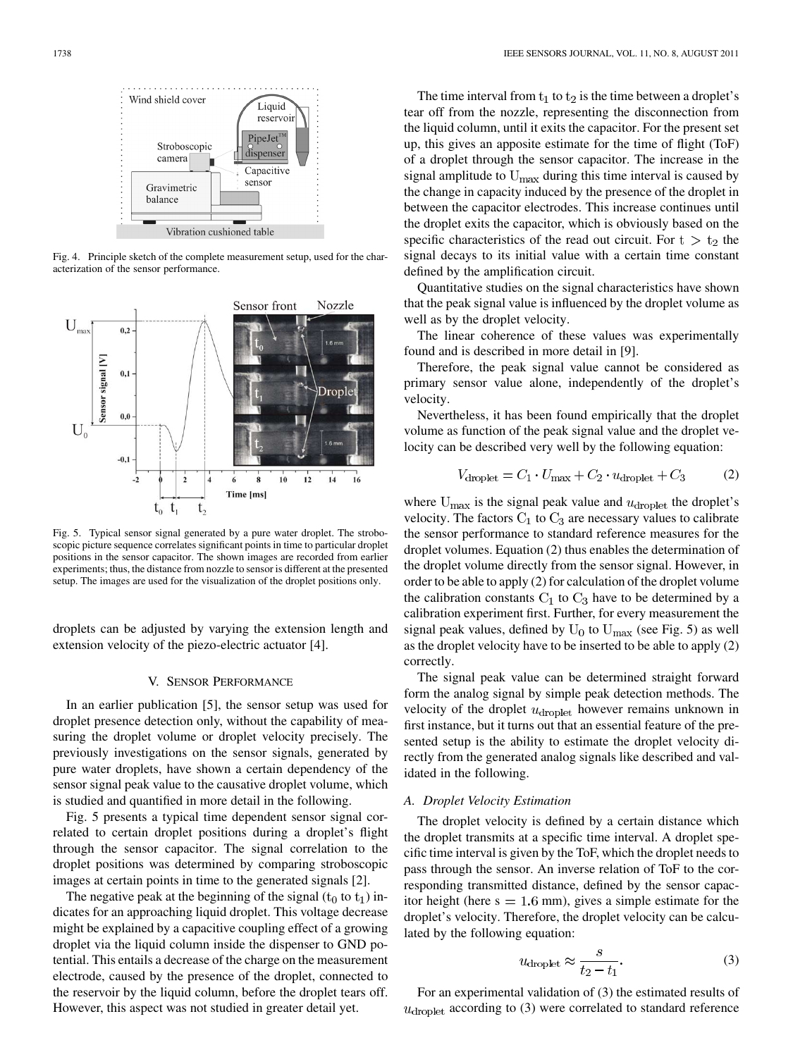

Fig. 4. Principle sketch of the complete measurement setup, used for the characterization of the sensor performance.



Fig. 5. Typical sensor signal generated by a pure water droplet. The stroboscopic picture sequence correlates significant points in time to particular droplet positions in the sensor capacitor. The shown images are recorded from earlier experiments; thus, the distance from nozzle to sensor is different at the presented setup. The images are used for the visualization of the droplet positions only.

droplets can be adjusted by varying the extension length and extension velocity of the piezo-electric actuator [4].

#### V. SENSOR PERFORMANCE

In an earlier publication [5], the sensor setup was used for droplet presence detection only, without the capability of measuring the droplet volume or droplet velocity precisely. The previously investigations on the sensor signals, generated by pure water droplets, have shown a certain dependency of the sensor signal peak value to the causative droplet volume, which is studied and quantified in more detail in the following.

Fig. 5 presents a typical time dependent sensor signal correlated to certain droplet positions during a droplet's flight through the sensor capacitor. The signal correlation to the droplet positions was determined by comparing stroboscopic images at certain points in time to the generated signals [2].

The negative peak at the beginning of the signal  $(t_0 \text{ to } t_1)$  indicates for an approaching liquid droplet. This voltage decrease might be explained by a capacitive coupling effect of a growing droplet via the liquid column inside the dispenser to GND potential. This entails a decrease of the charge on the measurement electrode, caused by the presence of the droplet, connected to the reservoir by the liquid column, before the droplet tears off. However, this aspect was not studied in greater detail yet.

The time interval from  $t_1$  to  $t_2$  is the time between a droplet's tear off from the nozzle, representing the disconnection from the liquid column, until it exits the capacitor. For the present set up, this gives an apposite estimate for the time of flight (ToF) of a droplet through the sensor capacitor. The increase in the signal amplitude to  $U_{\text{max}}$  during this time interval is caused by the change in capacity induced by the presence of the droplet in between the capacitor electrodes. This increase continues until the droplet exits the capacitor, which is obviously based on the specific characteristics of the read out circuit. For  $t > t_2$  the signal decays to its initial value with a certain time constant defined by the amplification circuit.

Quantitative studies on the signal characteristics have shown that the peak signal value is influenced by the droplet volume as well as by the droplet velocity.

The linear coherence of these values was experimentally found and is described in more detail in [9].

Therefore, the peak signal value cannot be considered as primary sensor value alone, independently of the droplet's velocity.

Nevertheless, it has been found empirically that the droplet volume as function of the peak signal value and the droplet velocity can be described very well by the following equation:

$$
V_{\text{droplet}} = C_1 \cdot U_{\text{max}} + C_2 \cdot u_{\text{droplet}} + C_3 \tag{2}
$$

where  $U_{\text{max}}$  is the signal peak value and  $u_{\text{droplet}}$  the droplet's velocity. The factors  $C_1$  to  $C_3$  are necessary values to calibrate the sensor performance to standard reference measures for the droplet volumes. Equation (2) thus enables the determination of the droplet volume directly from the sensor signal. However, in order to be able to apply (2) for calculation of the droplet volume the calibration constants  $C_1$  to  $C_3$  have to be determined by a calibration experiment first. Further, for every measurement the signal peak values, defined by  $U_0$  to  $U_{\text{max}}$  (see Fig. 5) as well as the droplet velocity have to be inserted to be able to apply (2) correctly.

The signal peak value can be determined straight forward form the analog signal by simple peak detection methods. The velocity of the droplet  $u_{\text{droplet}}$  however remains unknown in first instance, but it turns out that an essential feature of the presented setup is the ability to estimate the droplet velocity directly from the generated analog signals like described and validated in the following.

# *A. Droplet Velocity Estimation*

The droplet velocity is defined by a certain distance which the droplet transmits at a specific time interval. A droplet specific time interval is given by the ToF, which the droplet needs to pass through the sensor. An inverse relation of ToF to the corresponding transmitted distance, defined by the sensor capacitor height (here  $s = 1.6$  mm), gives a simple estimate for the droplet's velocity. Therefore, the droplet velocity can be calculated by the following equation:

$$
u_{\text{droplet}} \approx \frac{s}{t_2 - t_1}.\tag{3}
$$

For an experimental validation of (3) the estimated results of  $u<sub>droplet</sub>$  according to (3) were correlated to standard reference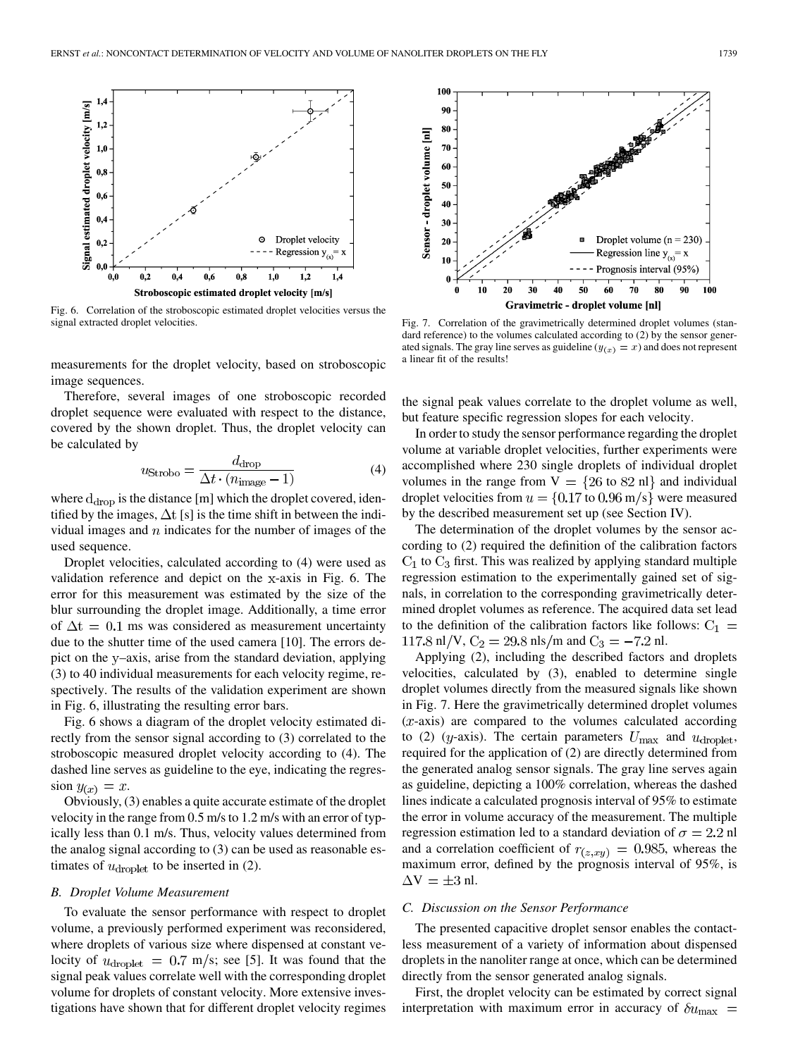

Fig. 6. Correlation of the stroboscopic estimated droplet velocities versus the signal extracted droplet velocities.

measurements for the droplet velocity, based on stroboscopic image sequences.

Therefore, several images of one stroboscopic recorded droplet sequence were evaluated with respect to the distance, covered by the shown droplet. Thus, the droplet velocity can be calculated by

$$
u_{\text{Strobo}} = \frac{d_{\text{drop}}}{\Delta t \cdot (n_{\text{image}} - 1)}\tag{4}
$$

where  $d_{drop}$  is the distance [m] which the droplet covered, identified by the images,  $\Delta t$  [s] is the time shift in between the individual images and  $n$  indicates for the number of images of the used sequence.

Droplet velocities, calculated according to (4) were used as validation reference and depict on the x-axis in Fig. 6. The error for this measurement was estimated by the size of the blur surrounding the droplet image. Additionally, a time error of  $\Delta t = 0.1$  ms was considered as measurement uncertainty due to the shutter time of the used camera [10]. The errors depict on the y–axis, arise from the standard deviation, applying (3) to 40 individual measurements for each velocity regime, respectively. The results of the validation experiment are shown in Fig. 6, illustrating the resulting error bars.

Fig. 6 shows a diagram of the droplet velocity estimated directly from the sensor signal according to (3) correlated to the stroboscopic measured droplet velocity according to (4). The dashed line serves as guideline to the eye, indicating the regression  $y_{(x)} = x$ .

Obviously, (3) enables a quite accurate estimate of the droplet velocity in the range from 0.5 m/s to 1.2 m/s with an error of typically less than 0.1 m/s. Thus, velocity values determined from the analog signal according to (3) can be used as reasonable estimates of  $u_{\text{droplet}}$  to be inserted in (2).

### *B. Droplet Volume Measurement*

To evaluate the sensor performance with respect to droplet volume, a previously performed experiment was reconsidered, where droplets of various size where dispensed at constant velocity of  $u_{\text{droplet}} = 0.7 \text{ m/s}$ ; see [5]. It was found that the signal peak values correlate well with the corresponding droplet volume for droplets of constant velocity. More extensive investigations have shown that for different droplet velocity regimes



Fig. 7. Correlation of the gravimetrically determined droplet volumes (standard reference) to the volumes calculated according to (2) by the sensor generated signals. The gray line serves as guideline  $(y_{(x)} = x)$  and does not represent a linear fit of the results!

the signal peak values correlate to the droplet volume as well, but feature specific regression slopes for each velocity.

In order to study the sensor performance regarding the droplet volume at variable droplet velocities, further experiments were accomplished where 230 single droplets of individual droplet volumes in the range from  $V = \{26 \text{ to } 82 \text{ nl}\}\$ and individual droplet velocities from  $u = \{0.17 \text{ to } 0.96 \text{ m/s}\}\$ were measured by the described measurement set up (see Section IV).

The determination of the droplet volumes by the sensor according to (2) required the definition of the calibration factors  $C_1$  to  $C_3$  first. This was realized by applying standard multiple regression estimation to the experimentally gained set of signals, in correlation to the corresponding gravimetrically determined droplet volumes as reference. The acquired data set lead to the definition of the calibration factors like follows:  $C_1$  = 117.8 nl/V,  $C_2 = 29.8$  nls/m and  $C_3 = -7.2$  nl.

Applying (2), including the described factors and droplets velocities, calculated by (3), enabled to determine single droplet volumes directly from the measured signals like shown in Fig. 7. Here the gravimetrically determined droplet volumes  $(x$ -axis) are compared to the volumes calculated according to (2) (*y*-axis). The certain parameters  $U_{\text{max}}$  and  $u_{\text{droplet}}$ , required for the application of (2) are directly determined from the generated analog sensor signals. The gray line serves again as guideline, depicting a 100% correlation, whereas the dashed lines indicate a calculated prognosis interval of 95% to estimate the error in volume accuracy of the measurement. The multiple regression estimation led to a standard deviation of  $\sigma = 2.2$  nl and a correlation coefficient of  $r_{(z, xy)} = 0.985$ , whereas the maximum error, defined by the prognosis interval of 95%, is  $\Delta V = \pm 3$  nl.

#### *C. Discussion on the Sensor Performance*

The presented capacitive droplet sensor enables the contactless measurement of a variety of information about dispensed droplets in the nanoliter range at once, which can be determined directly from the sensor generated analog signals.

First, the droplet velocity can be estimated by correct signal interpretation with maximum error in accuracy of  $\delta u_{\text{max}}$  =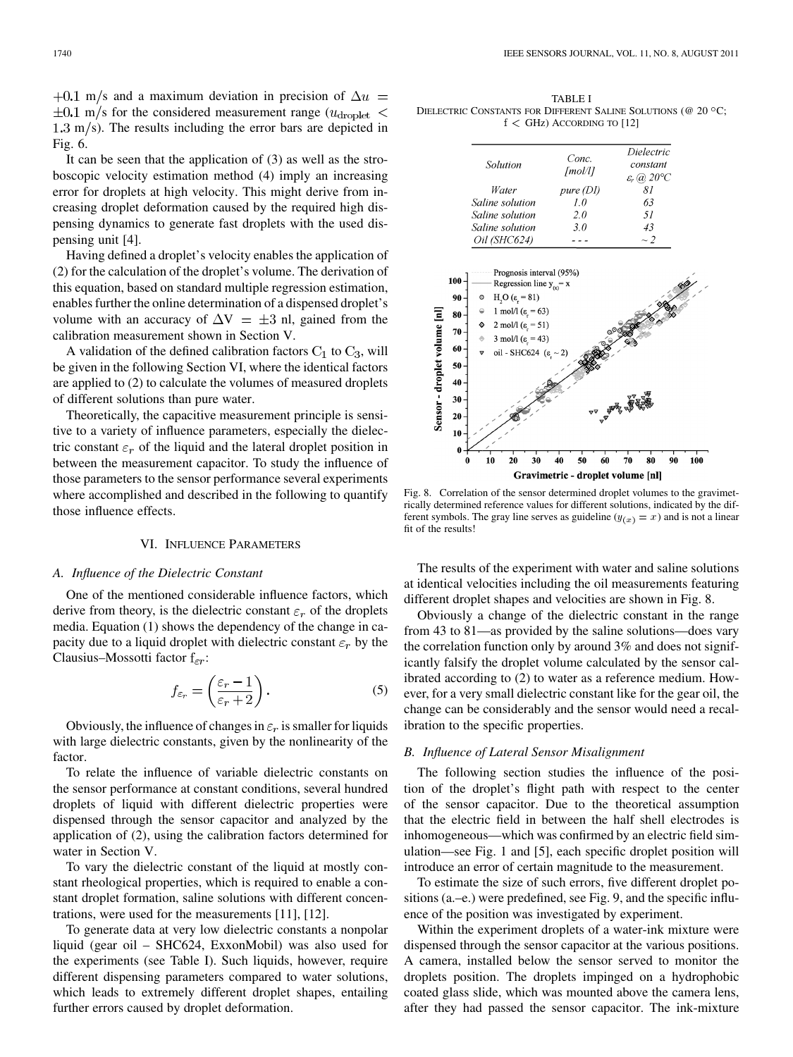+0.1 m/s and a maximum deviation in precision of  $\Delta u =$  $\pm 0.1$  m/s for the considered measurement range ( $u_{\text{droplet}}$  <  $1.3 \text{ m/s}$ . The results including the error bars are depicted in Fig. 6.

It can be seen that the application of (3) as well as the stroboscopic velocity estimation method (4) imply an increasing error for droplets at high velocity. This might derive from increasing droplet deformation caused by the required high dispensing dynamics to generate fast droplets with the used dispensing unit [4].

Having defined a droplet's velocity enables the application of (2) for the calculation of the droplet's volume. The derivation of this equation, based on standard multiple regression estimation, enables further the online determination of a dispensed droplet's volume with an accuracy of  $\Delta V = \pm 3$  nl, gained from the calibration measurement shown in Section V.

A validation of the defined calibration factors  $C_1$  to  $C_3$ , will be given in the following Section VI, where the identical factors are applied to (2) to calculate the volumes of measured droplets of different solutions than pure water.

Theoretically, the capacitive measurement principle is sensitive to a variety of influence parameters, especially the dielectric constant  $\varepsilon_r$  of the liquid and the lateral droplet position in between the measurement capacitor. To study the influence of those parameters to the sensor performance several experiments where accomplished and described in the following to quantify those influence effects.

## VI. INFLUENCE PARAMETERS

## *A. Influence of the Dielectric Constant*

One of the mentioned considerable influence factors, which derive from theory, is the dielectric constant  $\varepsilon_r$  of the droplets media. Equation (1) shows the dependency of the change in capacity due to a liquid droplet with dielectric constant  $\varepsilon_r$  by the Clausius–Mossotti factor  $f_{\varepsilon r}$ :

$$
f_{\varepsilon_r} = \left(\frac{\varepsilon_r - 1}{\varepsilon_r + 2}\right). \tag{5}
$$

Obviously, the influence of changes in  $\varepsilon_r$  is smaller for liquids with large dielectric constants, given by the nonlinearity of the factor.

To relate the influence of variable dielectric constants on the sensor performance at constant conditions, several hundred droplets of liquid with different dielectric properties were dispensed through the sensor capacitor and analyzed by the application of (2), using the calibration factors determined for water in Section V.

To vary the dielectric constant of the liquid at mostly constant rheological properties, which is required to enable a constant droplet formation, saline solutions with different concentrations, were used for the measurements [11], [12].

To generate data at very low dielectric constants a nonpolar liquid (gear oil – SHC624, ExxonMobil) was also used for the experiments (see Table I). Such liquids, however, require different dispensing parameters compared to water solutions, which leads to extremely different droplet shapes, entailing further errors caused by droplet deformation.

TABLE I DIELECTRIC CONSTANTS FOR DIFFERENT SALINE SOLUTIONS (@ 20 °C;  $f <$  GHz) ACCORDING TO [12]

| Solution        | Conc.<br>[mol/l] | Dielectric<br>constant<br>$\varepsilon_r$ (a) 20°C |
|-----------------|------------------|----------------------------------------------------|
| Water           | pure(DI)         | 81                                                 |
| Saline solution | 10               | 63                                                 |
| Saline solution | 20               | 51                                                 |
| Saline solution | 3.0              | 43                                                 |
| Oil (SHC624)    |                  | $\sim$ 2                                           |



Fig. 8. Correlation of the sensor determined droplet volumes to the gravimetrically determined reference values for different solutions, indicated by the different symbols. The gray line serves as guideline  $(y_{(x)} = x)$  and is not a linear fit of the results!

The results of the experiment with water and saline solutions at identical velocities including the oil measurements featuring different droplet shapes and velocities are shown in Fig. 8.

Obviously a change of the dielectric constant in the range from 43 to 81—as provided by the saline solutions—does vary the correlation function only by around 3% and does not significantly falsify the droplet volume calculated by the sensor calibrated according to (2) to water as a reference medium. However, for a very small dielectric constant like for the gear oil, the change can be considerably and the sensor would need a recalibration to the specific properties.

## *B. Influence of Lateral Sensor Misalignment*

The following section studies the influence of the position of the droplet's flight path with respect to the center of the sensor capacitor. Due to the theoretical assumption that the electric field in between the half shell electrodes is inhomogeneous—which was confirmed by an electric field simulation—see Fig. 1 and [5], each specific droplet position will introduce an error of certain magnitude to the measurement.

To estimate the size of such errors, five different droplet positions (a.–e.) were predefined, see Fig. 9, and the specific influence of the position was investigated by experiment.

Within the experiment droplets of a water-ink mixture were dispensed through the sensor capacitor at the various positions. A camera, installed below the sensor served to monitor the droplets position. The droplets impinged on a hydrophobic coated glass slide, which was mounted above the camera lens, after they had passed the sensor capacitor. The ink-mixture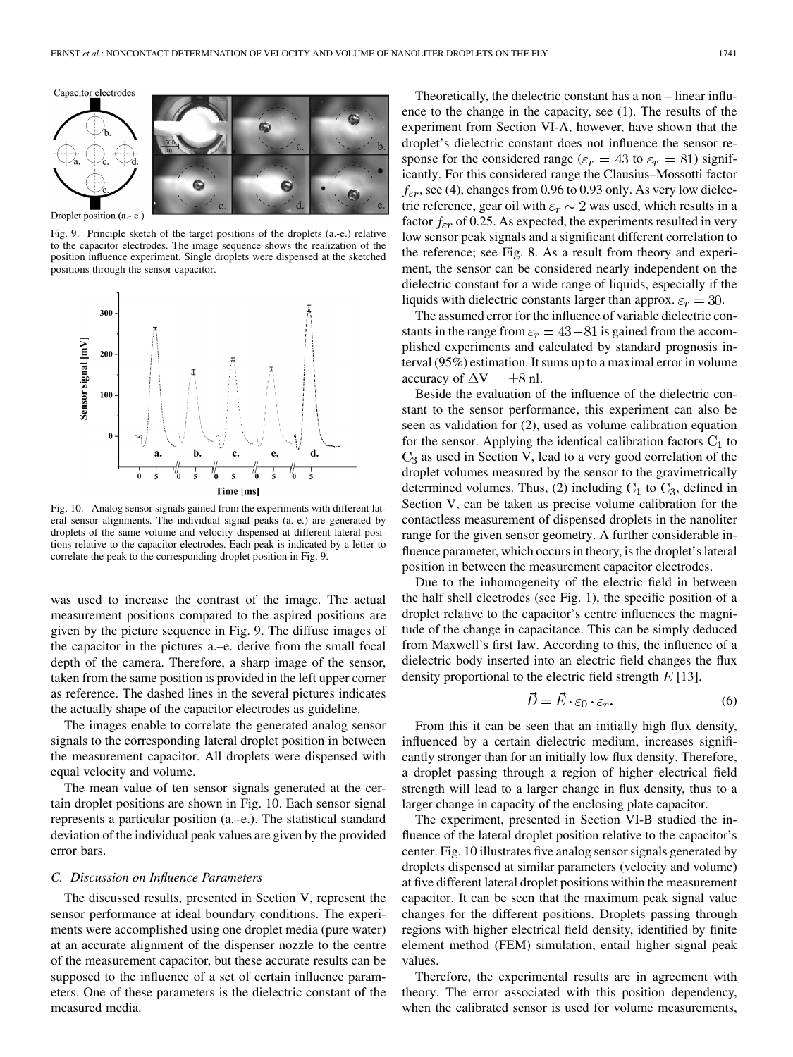Capacitor electrodes





Droplet position (a.- e.)

Fig. 9. Principle sketch of the target positions of the droplets (a.-e.) relative to the capacitor electrodes. The image sequence shows the realization of the position influence experiment. Single droplets were dispensed at the sketched positions through the sensor capacitor.



Fig. 10. Analog sensor signals gained from the experiments with different lateral sensor alignments. The individual signal peaks (a.-e.) are generated by droplets of the same volume and velocity dispensed at different lateral positions relative to the capacitor electrodes. Each peak is indicated by a letter to correlate the peak to the corresponding droplet position in Fig. 9.

was used to increase the contrast of the image. The actual measurement positions compared to the aspired positions are given by the picture sequence in Fig. 9. The diffuse images of the capacitor in the pictures a.–e. derive from the small focal depth of the camera. Therefore, a sharp image of the sensor, taken from the same position is provided in the left upper corner as reference. The dashed lines in the several pictures indicates the actually shape of the capacitor electrodes as guideline.

The images enable to correlate the generated analog sensor signals to the corresponding lateral droplet position in between the measurement capacitor. All droplets were dispensed with equal velocity and volume.

The mean value of ten sensor signals generated at the certain droplet positions are shown in Fig. 10. Each sensor signal represents a particular position (a.–e.). The statistical standard deviation of the individual peak values are given by the provided error bars.

#### *C. Discussion on Influence Parameters*

The discussed results, presented in Section V, represent the sensor performance at ideal boundary conditions. The experiments were accomplished using one droplet media (pure water) at an accurate alignment of the dispenser nozzle to the centre of the measurement capacitor, but these accurate results can be supposed to the influence of a set of certain influence parameters. One of these parameters is the dielectric constant of the measured media.

Theoretically, the dielectric constant has a non – linear influence to the change in the capacity, see (1). The results of the experiment from Section VI-A, however, have shown that the droplet's dielectric constant does not influence the sensor response for the considered range ( $\varepsilon_r = 43$  to  $\varepsilon_r = 81$ ) significantly. For this considered range the Clausius–Mossotti factor  $f_{\varepsilon r}$ , see (4), changes from 0.96 to 0.93 only. As very low dielectric reference, gear oil with  $\varepsilon_r \sim 2$  was used, which results in a factor  $f_{\epsilon r}$  of 0.25. As expected, the experiments resulted in very low sensor peak signals and a significant different correlation to the reference; see Fig. 8. As a result from theory and experiment, the sensor can be considered nearly independent on the dielectric constant for a wide range of liquids, especially if the liquids with dielectric constants larger than approx.  $\varepsilon_r = 30$ .

The assumed error for the influence of variable dielectric constants in the range from  $\varepsilon_r = 43 - 81$  is gained from the accomplished experiments and calculated by standard prognosis interval (95%) estimation. It sums up to a maximal error in volume accuracy of  $\Delta V = \pm 8$  nl.

Beside the evaluation of the influence of the dielectric constant to the sensor performance, this experiment can also be seen as validation for (2), used as volume calibration equation for the sensor. Applying the identical calibration factors  $C_1$  to  $C_3$  as used in Section V, lead to a very good correlation of the droplet volumes measured by the sensor to the gravimetrically determined volumes. Thus, (2) including  $C_1$  to  $C_3$ , defined in Section V, can be taken as precise volume calibration for the contactless measurement of dispensed droplets in the nanoliter range for the given sensor geometry. A further considerable influence parameter, which occurs in theory, is the droplet's lateral position in between the measurement capacitor electrodes.

Due to the inhomogeneity of the electric field in between the half shell electrodes (see Fig. 1), the specific position of a droplet relative to the capacitor's centre influences the magnitude of the change in capacitance. This can be simply deduced from Maxwell's first law. According to this, the influence of a dielectric body inserted into an electric field changes the flux density proportional to the electric field strength  $E$  [13].

$$
\vec{D} = \vec{E} \cdot \varepsilon_0 \cdot \varepsilon_r. \tag{6}
$$

From this it can be seen that an initially high flux density, influenced by a certain dielectric medium, increases significantly stronger than for an initially low flux density. Therefore, a droplet passing through a region of higher electrical field strength will lead to a larger change in flux density, thus to a larger change in capacity of the enclosing plate capacitor.

The experiment, presented in Section VI-B studied the influence of the lateral droplet position relative to the capacitor's center. Fig. 10 illustrates five analog sensor signals generated by droplets dispensed at similar parameters (velocity and volume) at five different lateral droplet positions within the measurement capacitor. It can be seen that the maximum peak signal value changes for the different positions. Droplets passing through regions with higher electrical field density, identified by finite element method (FEM) simulation, entail higher signal peak values.

Therefore, the experimental results are in agreement with theory. The error associated with this position dependency, when the calibrated sensor is used for volume measurements,